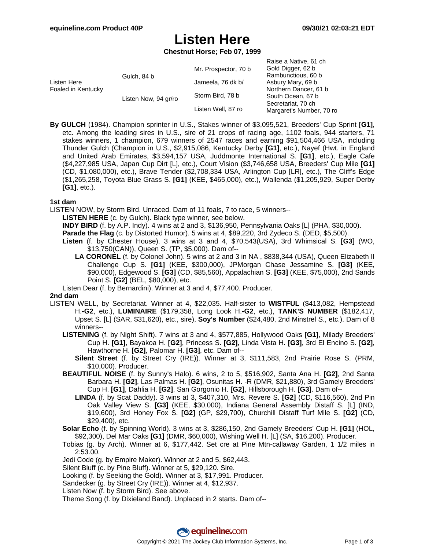Raise a Native, 61 ch

# **Listen Here**

**Chestnut Horse; Feb 07, 1999**

|                                   |                      |                      | Naise a Native, UT UIT   |
|-----------------------------------|----------------------|----------------------|--------------------------|
| Listen Here<br>Foaled in Kentucky | Gulch, 84 b          | Mr. Prospector, 70 b | Gold Digger, 62 b        |
|                                   |                      |                      | Rambunctious, 60 b       |
|                                   |                      | Jameela, 76 dk b/    | Asbury Mary, 69 b        |
|                                   | Listen Now, 94 gr/ro |                      | Northern Dancer, 61 b    |
|                                   |                      | Storm Bird, 78 b     | South Ocean, 67 b        |
|                                   |                      | Listen Well, 87 ro   | Secretariat, 70 ch       |
|                                   |                      |                      | Margaret's Number, 70 ro |
|                                   |                      |                      |                          |

**By GULCH** (1984). Champion sprinter in U.S., Stakes winner of \$3,095,521, Breeders' Cup Sprint **[G1]**, etc. Among the leading sires in U.S., sire of 21 crops of racing age, 1102 foals, 944 starters, 71 stakes winners, 1 champion, 679 winners of 2547 races and earning \$91,504,466 USA, including Thunder Gulch (Champion in U.S., \$2,915,086, Kentucky Derby **[G1]**, etc.), Nayef (Hwt. in England and United Arab Emirates, \$3,594,157 USA, Juddmonte International S. **[G1]**, etc.), Eagle Cafe (\$4,227,985 USA, Japan Cup Dirt [L], etc.), Court Vision (\$3,746,658 USA, Breeders' Cup Mile **[G1]** (CD, \$1,080,000), etc.), Brave Tender (\$2,708,334 USA, Arlington Cup [LR], etc.), The Cliff's Edge (\$1,265,258, Toyota Blue Grass S. **[G1]** (KEE, \$465,000), etc.), Wallenda (\$1,205,929, Super Derby **[G1]**, etc.).

### **1st dam**

LISTEN NOW, by Storm Bird. Unraced. Dam of 11 foals, 7 to race, 5 winners--

**LISTEN HERE** (c. by Gulch). Black type winner, see below.

**INDY BIRD** (f. by A.P. Indy). 4 wins at 2 and 3, \$136,950, Pennsylvania Oaks [L] (PHA, \$30,000).

**Parade the Flag** (c. by Distorted Humor). 5 wins at 4, \$89,220, 3rd Zydeco S. (DED, \$5,500).

**Listen** (f. by Chester House). 3 wins at 3 and 4, \$70,543(USA), 3rd Whimsical S. **[G3]** (WO, \$13,750(CAN)), Queen S. (TP, \$5,000). Dam of--

**LA CORONEL** (f. by Colonel John). 5 wins at 2 and 3 in NA , \$838,344 (USA), Queen Elizabeth II Challenge Cup S. **[G1]** (KEE, \$300,000), JPMorgan Chase Jessamine S. **[G3]** (KEE, \$90,000), Edgewood S. **[G3]** (CD, \$85,560), Appalachian S. **[G3]** (KEE, \$75,000), 2nd Sands Point S. **[G2]** (BEL, \$80,000), etc.

Listen Dear (f. by Bernardini). Winner at 3 and 4, \$77,400. Producer.

#### **2nd dam**

- LISTEN WELL, by Secretariat. Winner at 4, \$22,035. Half-sister to **WISTFUL** (\$413,082, Hempstead H.**-G2**, etc.), **LUMINAIRE** (\$179,358, Long Look H.**-G2**, etc.), **TANK'S NUMBER** (\$182,417, Upset S. [L] (SAR, \$31,620), etc., sire), **Soy's Number** (\$24,480, 2nd Minstrel S., etc.). Dam of 8 winners--
	- **LISTENING** (f. by Night Shift). 7 wins at 3 and 4, \$577,885, Hollywood Oaks **[G1]**, Milady Breeders' Cup H. **[G1]**, Bayakoa H. **[G2]**, Princess S. **[G2]**, Linda Vista H. **[G3]**, 3rd El Encino S. **[G2]**, Hawthorne H. **[G2]**, Palomar H. **[G3]**, etc. Dam of--
		- **Silent Street** (f. by Street Cry (IRE)). Winner at 3, \$111,583, 2nd Prairie Rose S. (PRM, \$10,000). Producer.
	- **BEAUTIFUL NOISE** (f. by Sunny's Halo). 6 wins, 2 to 5, \$516,902, Santa Ana H. **[G2]**, 2nd Santa Barbara H. **[G2]**, Las Palmas H. **[G2]**, Osunitas H. -R (DMR, \$21,880), 3rd Gamely Breeders' Cup H. **[G1]**, Dahlia H. **[G2]**, San Gorgonio H. **[G2]**, Hillsborough H. **[G3]**. Dam of--
		- **LINDA** (f. by Scat Daddy). 3 wins at 3, \$407,310, Mrs. Revere S. **[G2]** (CD, \$116,560), 2nd Pin Oak Valley View S. **[G3]** (KEE, \$30,000), Indiana General Assembly Distaff S. [L] (IND, \$19,600), 3rd Honey Fox S. **[G2]** (GP, \$29,700), Churchill Distaff Turf Mile S. **[G2]** (CD, \$29,400), etc.
	- **Solar Echo** (f. by Spinning World). 3 wins at 3, \$286,150, 2nd Gamely Breeders' Cup H. **[G1]** (HOL, \$92,300), Del Mar Oaks **[G1]** (DMR, \$60,000), Wishing Well H. [L] (SA, \$16,200). Producer.
	- Tobias (g. by Arch). Winner at 6, \$177,442. Set cre at Pine Mtn-callaway Garden, 1 1/2 miles in 2:53.00.
	- Jedi Code (g. by Empire Maker). Winner at 2 and 5, \$62,443.
	- Silent Bluff (c. by Pine Bluff). Winner at 5, \$29,120. Sire.
	- Looking (f. by Seeking the Gold). Winner at 3, \$17,991. Producer.
	- Sandecker (g. by Street Cry (IRE)). Winner at 4, \$12,937.
	- Listen Now (f. by Storm Bird). See above.
	- Theme Song (f. by Dixieland Band). Unplaced in 2 starts. Dam of--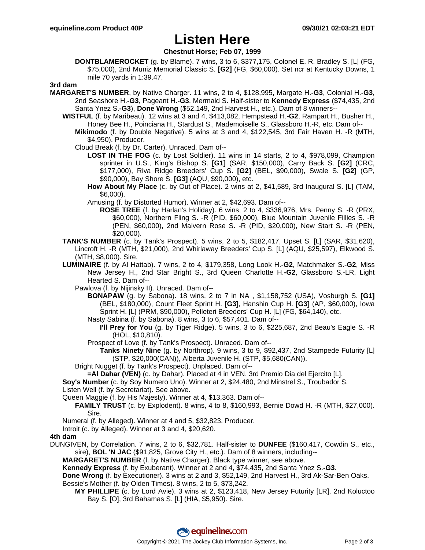# **Listen Here**

## **Chestnut Horse; Feb 07, 1999**

**DONTBLAMEROCKET** (g. by Blame). 7 wins, 3 to 6, \$377,175, Colonel E. R. Bradley S. [L] (FG, \$75,000), 2nd Muniz Memorial Classic S. **[G2]** (FG, \$60,000). Set ncr at Kentucky Downs, 1 mile 70 yards in 1:39.47.

### **3rd dam**

- **MARGARET'S NUMBER**, by Native Charger. 11 wins, 2 to 4, \$128,995, Margate H.**-G3**, Colonial H.**-G3**, 2nd Seashore H.**-G3**, Pageant H.**-G3**, Mermaid S. Half-sister to **Kennedy Express** (\$74,435, 2nd Santa Ynez S.**-G3**), **Done Wrong** (\$52,149, 2nd Harvest H., etc.). Dam of 8 winners--
	- **WISTFUL** (f. by Maribeau). 12 wins at 3 and 4, \$413,082, Hempstead H.**-G2**, Rampart H., Busher H., Honey Bee H., Poinciana H., Stardust S., Mademoiselle S., Glassboro H.-R, etc. Dam of-- **Mikimodo** (f. by Double Negative). 5 wins at 3 and 4, \$122,545, 3rd Fair Haven H. -R (MTH, \$4,950). Producer.
		- Cloud Break (f. by Dr. Carter). Unraced. Dam of--
			- **LOST IN THE FOG** (c. by Lost Soldier). 11 wins in 14 starts, 2 to 4, \$978,099, Champion sprinter in U.S., King's Bishop S. **[G1]** (SAR, \$150,000), Carry Back S. **[G2]** (CRC, \$177,000), Riva Ridge Breeders' Cup S. **[G2]** (BEL, \$90,000), Swale S. **[G2]** (GP, \$90,000), Bay Shore S. **[G3]** (AQU, \$90,000), etc.
			- **How About My Place** (c. by Out of Place). 2 wins at 2, \$41,589, 3rd Inaugural S. [L] (TAM, \$6,000).
			- Amusing (f. by Distorted Humor). Winner at 2, \$42,693. Dam of--
				- **ROSE TREE** (f. by Harlan's Holiday). 6 wins, 2 to 4, \$336,976, Mrs. Penny S. -R (PRX, \$60,000), Northern Fling S. -R (PID, \$60,000), Blue Mountain Juvenile Fillies S. -R (PEN, \$60,000), 2nd Malvern Rose S. -R (PID, \$20,000), New Start S. -R (PEN, \$20,000).
	- **TANK'S NUMBER** (c. by Tank's Prospect). 5 wins, 2 to 5, \$182,417, Upset S. [L] (SAR, \$31,620), Lincroft H. -R (MTH, \$21,000), 2nd Whirlaway Breeders' Cup S. [L] (AQU, \$25,597), Elkwood S. (MTH, \$8,000). Sire.
	- **LUMINAIRE** (f. by Al Hattab). 7 wins, 2 to 4, \$179,358, Long Look H.**-G2**, Matchmaker S.**-G2**, Miss New Jersey H., 2nd Star Bright S., 3rd Queen Charlotte H.**-G2**, Glassboro S.-LR, Light Hearted S. Dam of--
		- Pawlova (f. by Nijinsky II). Unraced. Dam of--
			- **BONAPAW** (g. by Sabona). 18 wins, 2 to 7 in NA , \$1,158,752 (USA), Vosburgh S. **[G1]** (BEL, \$180,000), Count Fleet Sprint H. **[G3]**, Hanshin Cup H. **[G3]** (AP, \$60,000), Iowa Sprint H. [L] (PRM, \$90,000), Pelleteri Breeders' Cup H. [L] (FG, \$64,140), etc.
			- Nasty Sabina (f. by Sabona). 8 wins, 3 to 6, \$57,401. Dam of--
				- **I'll Prey for You** (g. by Tiger Ridge). 5 wins, 3 to 6, \$225,687, 2nd Beau's Eagle S. -R (HOL, \$10,810).
			- Prospect of Love (f. by Tank's Prospect). Unraced. Dam of--
				- **Tanks Ninety Nine** (g. by Northrop). 9 wins, 3 to 9, \$92,437, 2nd Stampede Futurity [L] (STP, \$20,000(CAN)), Alberta Juvenile H. (STP, \$5,680(CAN)).
		- Bright Nugget (f. by Tank's Prospect). Unplaced. Dam of--
		- **=Al Dahar (VEN)** (c. by Dahar). Placed at 4 in VEN, 3rd Premio Dia del Ejercito [L].
	- **Soy's Number** (c. by Soy Numero Uno). Winner at 2, \$24,480, 2nd Minstrel S., Troubador S.
	- Listen Well (f. by Secretariat). See above.
	- Queen Maggie (f. by His Majesty). Winner at 4, \$13,363. Dam of--
		- **FAMILY TRUST** (c. by Explodent). 8 wins, 4 to 8, \$160,993, Bernie Dowd H. -R (MTH, \$27,000). Sire.
	- Numeral (f. by Alleged). Winner at 4 and 5, \$32,823. Producer.
	- Introit (c. by Alleged). Winner at 3 and 4, \$20,620.

## **4th dam**

DUNGIVEN, by Correlation. 7 wins, 2 to 6, \$32,781. Half-sister to **DUNFEE** (\$160,417, Cowdin S., etc., sire), **BOL 'N JAC** (\$91,825, Grove City H., etc.). Dam of 8 winners, including--

**MARGARET'S NUMBER** (f. by Native Charger). Black type winner, see above.

**Kennedy Express** (f. by Exuberant). Winner at 2 and 4, \$74,435, 2nd Santa Ynez S.**-G3**.

**Done Wrong** (f. by Executioner). 3 wins at 2 and 3, \$52,149, 2nd Harvest H., 3rd Ak-Sar-Ben Oaks. Bessie's Mother (f. by Olden Times). 8 wins, 2 to 5, \$73,242.

**MY PHILLIPE** (c. by Lord Avie). 3 wins at 2, \$123,418, New Jersey Futurity [LR], 2nd Koluctoo Bay S. [O], 3rd Bahamas S. [L] (HIA, \$5,950). Sire.